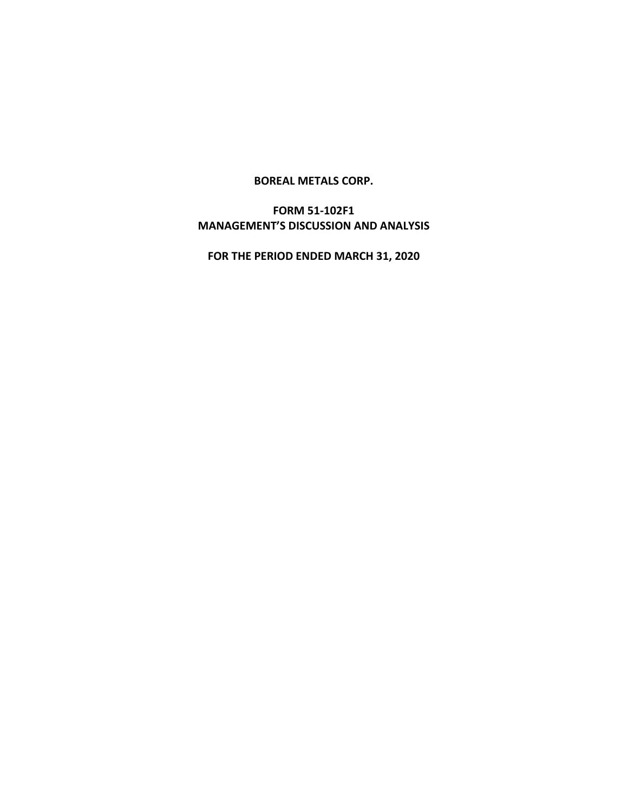### **BOREAL METALS CORP.**

# **FORM 51-102F1 MANAGEMENT'S DISCUSSION AND ANALYSIS**

**FOR THE PERIOD ENDED MARCH 31, 2020**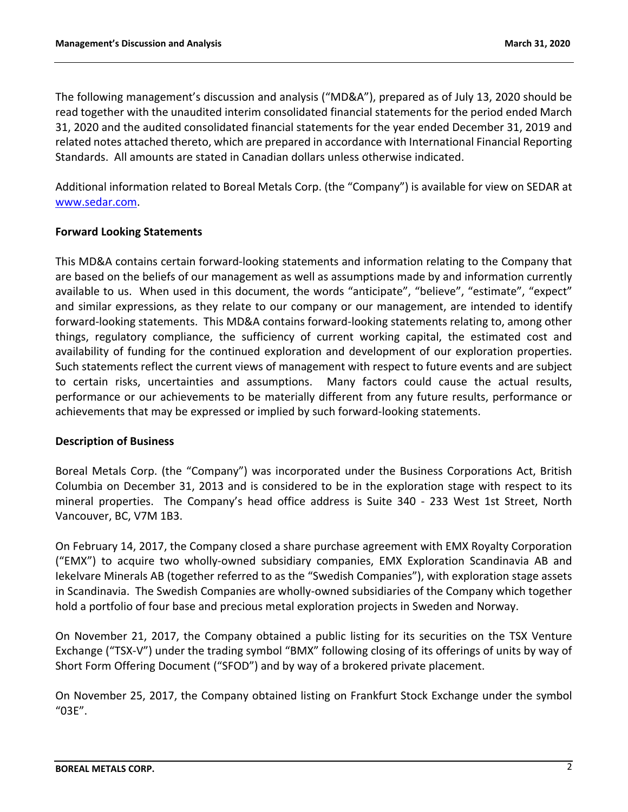The following management's discussion and analysis ("MD&A"), prepared as of July 13, 2020 should be read together with the unaudited interim consolidated financial statements for the period ended March 31, 2020 and the audited consolidated financial statements for the year ended December 31, 2019 and related notes attached thereto, which are prepared in accordance with International Financial Reporting Standards. All amounts are stated in Canadian dollars unless otherwise indicated.

Additional information related to Boreal Metals Corp. (the "Company") is available for view on SEDAR at [www.sedar.com.](http://www.sedar.com/)

## **Forward Looking Statements**

This MD&A contains certain forward-looking statements and information relating to the Company that are based on the beliefs of our management as well as assumptions made by and information currently available to us. When used in this document, the words "anticipate", "believe", "estimate", "expect" and similar expressions, as they relate to our company or our management, are intended to identify forward-looking statements. This MD&A contains forward-looking statements relating to, among other things, regulatory compliance, the sufficiency of current working capital, the estimated cost and availability of funding for the continued exploration and development of our exploration properties. Such statements reflect the current views of management with respect to future events and are subject to certain risks, uncertainties and assumptions. Many factors could cause the actual results, performance or our achievements to be materially different from any future results, performance or achievements that may be expressed or implied by such forward-looking statements.

## **Description of Business**

Boreal Metals Corp. (the "Company") was incorporated under the Business Corporations Act, British Columbia on December 31, 2013 and is considered to be in the exploration stage with respect to its mineral properties. The Company's head office address is Suite 340 - 233 West 1st Street, North Vancouver, BC, V7M 1B3.

On February 14, 2017, the Company closed a share purchase agreement with EMX Royalty Corporation ("EMX") to acquire two wholly-owned subsidiary companies, EMX Exploration Scandinavia AB and Iekelvare Minerals AB (together referred to as the "Swedish Companies"), with exploration stage assets in Scandinavia. The Swedish Companies are wholly-owned subsidiaries of the Company which together hold a portfolio of four base and precious metal exploration projects in Sweden and Norway.

On November 21, 2017, the Company obtained a public listing for its securities on the TSX Venture Exchange ("TSX-V") under the trading symbol "BMX" following closing of its offerings of units by way of Short Form Offering Document ("SFOD") and by way of a brokered private placement.

On November 25, 2017, the Company obtained listing on Frankfurt Stock Exchange under the symbol "03E".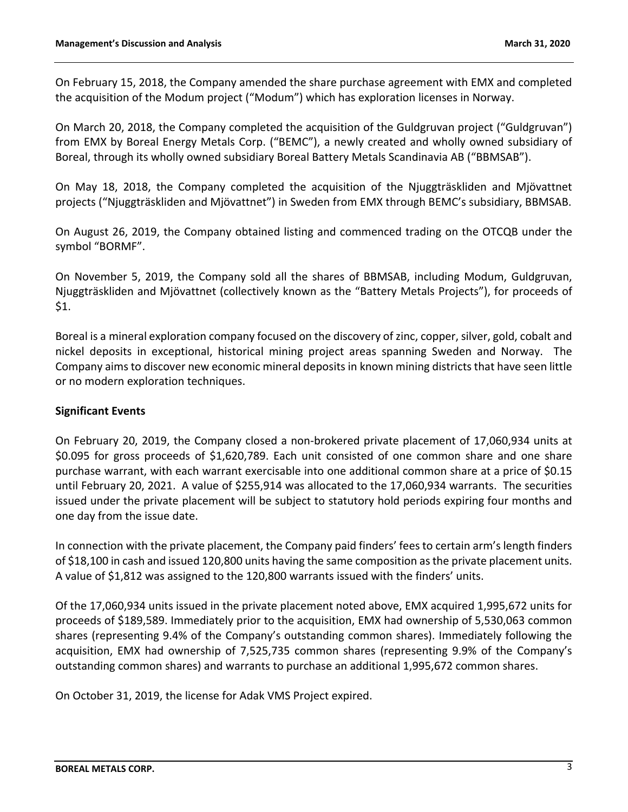On February 15, 2018, the Company amended the share purchase agreement with EMX and completed the acquisition of the Modum project ("Modum") which has exploration licenses in Norway.

On March 20, 2018, the Company completed the acquisition of the Guldgruvan project ("Guldgruvan") from EMX by Boreal Energy Metals Corp. ("BEMC"), a newly created and wholly owned subsidiary of Boreal, through its wholly owned subsidiary Boreal Battery Metals Scandinavia AB ("BBMSAB").

On May 18, 2018, the Company completed the acquisition of the Njuggträskliden and Mjövattnet projects ("Njuggträskliden and Mjövattnet") in Sweden from EMX through BEMC's subsidiary, BBMSAB.

On August 26, 2019, the Company obtained listing and commenced trading on the OTCQB under the symbol "BORMF".

On November 5, 2019, the Company sold all the shares of BBMSAB, including Modum, Guldgruvan, Njuggträskliden and Mjövattnet (collectively known as the "Battery Metals Projects"), for proceeds of \$1.

Boreal is a mineral exploration company focused on the discovery of zinc, copper, silver, gold, cobalt and nickel deposits in exceptional, historical mining project areas spanning Sweden and Norway. The Company aims to discover new economic mineral deposits in known mining districts that have seen little or no modern exploration techniques.

## **Significant Events**

On February 20, 2019, the Company closed a non-brokered private placement of 17,060,934 units at \$0.095 for gross proceeds of \$1,620,789. Each unit consisted of one common share and one share purchase warrant, with each warrant exercisable into one additional common share at a price of \$0.15 until February 20, 2021. A value of \$255,914 was allocated to the 17,060,934 warrants. The securities issued under the private placement will be subject to statutory hold periods expiring four months and one day from the issue date.

In connection with the private placement, the Company paid finders' fees to certain arm's length finders of \$18,100 in cash and issued 120,800 units having the same composition as the private placement units. A value of \$1,812 was assigned to the 120,800 warrants issued with the finders' units.

Of the 17,060,934 units issued in the private placement noted above, EMX acquired 1,995,672 units for proceeds of \$189,589. Immediately prior to the acquisition, EMX had ownership of 5,530,063 common shares (representing 9.4% of the Company's outstanding common shares). Immediately following the acquisition, EMX had ownership of 7,525,735 common shares (representing 9.9% of the Company's outstanding common shares) and warrants to purchase an additional 1,995,672 common shares.

On October 31, 2019, the license for Adak VMS Project expired.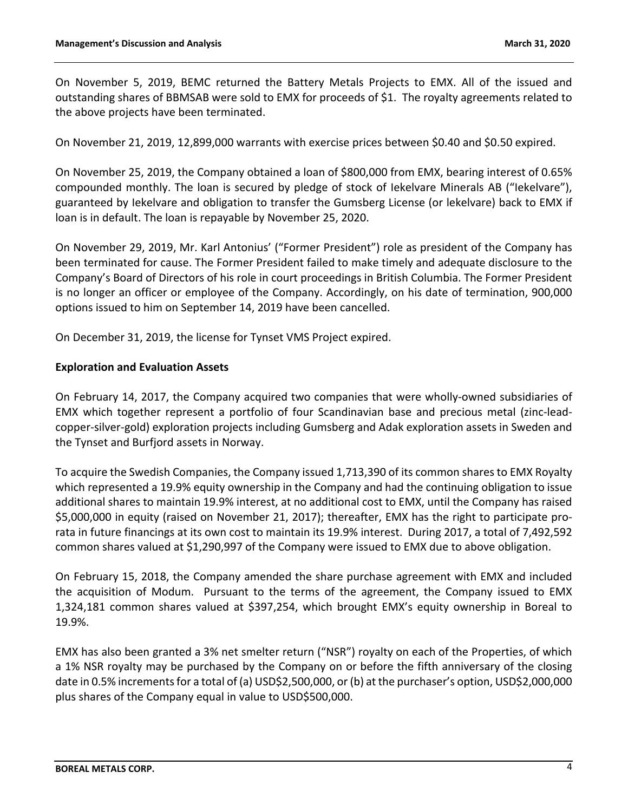On November 5, 2019, BEMC returned the Battery Metals Projects to EMX. All of the issued and outstanding shares of BBMSAB were sold to EMX for proceeds of \$1. The royalty agreements related to the above projects have been terminated.

On November 21, 2019, 12,899,000 warrants with exercise prices between \$0.40 and \$0.50 expired.

On November 25, 2019, the Company obtained a loan of \$800,000 from EMX, bearing interest of 0.65% compounded monthly. The loan is secured by pledge of stock of Iekelvare Minerals AB ("Iekelvare"), guaranteed by Iekelvare and obligation to transfer the Gumsberg License (or lekelvare) back to EMX if loan is in default. The loan is repayable by November 25, 2020.

On November 29, 2019, Mr. Karl Antonius' ("Former President") role as president of the Company has been terminated for cause. The Former President failed to make timely and adequate disclosure to the Company's Board of Directors of his role in court proceedings in British Columbia. The Former President is no longer an officer or employee of the Company. Accordingly, on his date of termination, 900,000 options issued to him on September 14, 2019 have been cancelled.

On December 31, 2019, the license for Tynset VMS Project expired.

### **Exploration and Evaluation Assets**

On February 14, 2017, the Company acquired two companies that were wholly-owned subsidiaries of EMX which together represent a portfolio of four Scandinavian base and precious metal (zinc-leadcopper-silver-gold) exploration projects including Gumsberg and Adak exploration assets in Sweden and the Tynset and Burfjord assets in Norway.

To acquire the Swedish Companies, the Company issued 1,713,390 of its common shares to EMX Royalty which represented a 19.9% equity ownership in the Company and had the continuing obligation to issue additional shares to maintain 19.9% interest, at no additional cost to EMX, until the Company has raised \$5,000,000 in equity (raised on November 21, 2017); thereafter, EMX has the right to participate prorata in future financings at its own cost to maintain its 19.9% interest. During 2017, a total of 7,492,592 common shares valued at \$1,290,997 of the Company were issued to EMX due to above obligation.

On February 15, 2018, the Company amended the share purchase agreement with EMX and included the acquisition of Modum. Pursuant to the terms of the agreement, the Company issued to EMX 1,324,181 common shares valued at \$397,254, which brought EMX's equity ownership in Boreal to 19.9%.

EMX has also been granted a 3% net smelter return ("NSR") royalty on each of the Properties, of which a 1% NSR royalty may be purchased by the Company on or before the fifth anniversary of the closing date in 0.5% increments for a total of (a) USD\$2,500,000, or (b) at the purchaser's option, USD\$2,000,000 plus shares of the Company equal in value to USD\$500,000.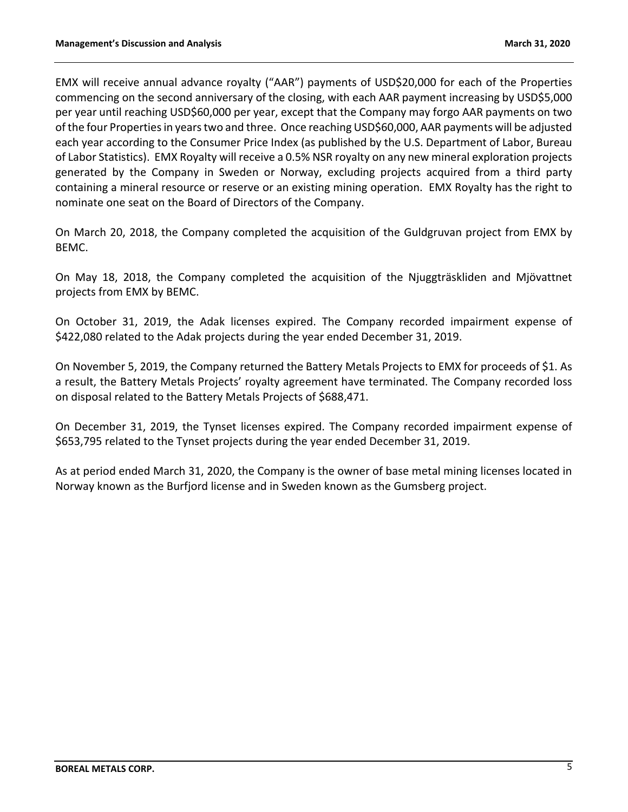EMX will receive annual advance royalty ("AAR") payments of USD\$20,000 for each of the Properties commencing on the second anniversary of the closing, with each AAR payment increasing by USD\$5,000 per year until reaching USD\$60,000 per year, except that the Company may forgo AAR payments on two of the four Properties in years two and three. Once reaching USD\$60,000, AAR payments will be adjusted each year according to the Consumer Price Index (as published by the U.S. Department of Labor, Bureau of Labor Statistics). EMX Royalty will receive a 0.5% NSR royalty on any new mineral exploration projects generated by the Company in Sweden or Norway, excluding projects acquired from a third party containing a mineral resource or reserve or an existing mining operation. EMX Royalty has the right to nominate one seat on the Board of Directors of the Company.

On March 20, 2018, the Company completed the acquisition of the Guldgruvan project from EMX by BEMC.

On May 18, 2018, the Company completed the acquisition of the Njuggträskliden and Mjövattnet projects from EMX by BEMC.

On October 31, 2019, the Adak licenses expired. The Company recorded impairment expense of \$422,080 related to the Adak projects during the year ended December 31, 2019.

On November 5, 2019, the Company returned the Battery Metals Projects to EMX for proceeds of \$1. As a result, the Battery Metals Projects' royalty agreement have terminated. The Company recorded loss on disposal related to the Battery Metals Projects of \$688,471.

On December 31, 2019, the Tynset licenses expired. The Company recorded impairment expense of \$653,795 related to the Tynset projects during the year ended December 31, 2019.

As at period ended March 31, 2020, the Company is the owner of base metal mining licenses located in Norway known as the Burfjord license and in Sweden known as the Gumsberg project.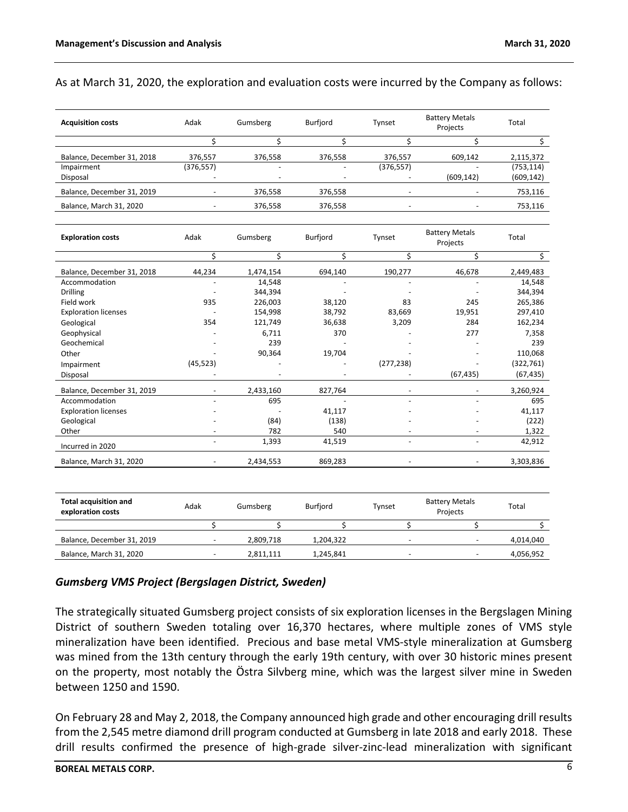### As at March 31, 2020, the exploration and evaluation costs were incurred by the Company as follows:

| <b>Acquisition costs</b>     | Adak           | Gumsberg  | Burfjord        | Tynset         | <b>Battery Metals</b><br>Projects | Total            |
|------------------------------|----------------|-----------|-----------------|----------------|-----------------------------------|------------------|
|                              | \$             | Ś         | Ś               | \$             | \$                                | $\overline{\xi}$ |
| Balance, December 31, 2018   | 376,557        | 376,558   | 376,558         | 376,557        | 609,142                           | 2,115,372        |
| Impairment                   | (376, 557)     |           |                 | (376, 557)     |                                   | (753, 114)       |
| Disposal                     |                |           |                 |                | (609, 142)                        | (609, 142)       |
| Balance, December 31, 2019   |                | 376,558   | 376,558         | $\overline{a}$ | $\overline{\phantom{a}}$          | 753,116          |
| Balance, March 31, 2020      |                | 376,558   | 376,558         |                |                                   | 753,116          |
| <b>Exploration costs</b>     | Adak           | Gumsberg  | <b>Burfjord</b> | Tynset         | <b>Battery Metals</b><br>Projects | Total            |
|                              | \$             | \$        | \$              | \$             | \$                                | \$               |
| Balance, December 31, 2018   | 44,234         | 1,474,154 | 694,140         | 190,277        | 46,678                            | 2,449,483        |
| Accommodation                |                | 14,548    |                 |                |                                   | 14,548           |
| Drilling                     |                | 344,394   |                 |                |                                   | 344,394          |
| Field work                   | 935            | 226,003   | 38,120          | 83             | 245                               | 265,386          |
| <b>Exploration licenses</b>  |                | 154,998   | 38,792          | 83,669         | 19,951                            | 297,410          |
| Geological                   | 354            | 121,749   | 36,638          | 3,209          | 284                               | 162,234          |
| Geophysical                  |                | 6,711     | 370             |                | 277                               | 7,358            |
| Geochemical                  |                | 239       |                 |                |                                   | 239              |
| Other                        |                | 90,364    | 19,704          |                |                                   | 110,068          |
| Impairment                   | (45, 523)      |           |                 | (277, 238)     |                                   | (322, 761)       |
| Disposal                     |                |           |                 |                | (67, 435)                         | (67, 435)        |
| Balance, December 31, 2019   |                | 2,433,160 | 827,764         |                |                                   | 3,260,924        |
| Accommodation                |                | 695       | $\sim$          |                |                                   | 695              |
| <b>Exploration licenses</b>  |                |           | 41,117          |                |                                   | 41,117           |
| Geological                   |                | (84)      | (138)           |                |                                   | (222)            |
| Other                        |                | 782       | 540             |                |                                   | 1,322            |
| Incurred in 2020             | $\overline{a}$ | 1,393     | 41,519          | $\overline{a}$ | $\overline{a}$                    | 42,912           |
| Balance, March 31, 2020      |                | 2,434,553 | 869,283         |                | $\overline{\phantom{a}}$          | 3,303,836        |
|                              |                |           |                 |                |                                   |                  |
| <b>Total acquisition and</b> | Adak           | Gumsherg  | <b>Burfiord</b> | Tynset         | <b>Battery Metals</b>             | Total            |

| <b>Total acquisition and</b><br>exploration costs | Adak                     | Gumsberg  | <b>Burfiord</b> | Tvnset | <b>Battery Metals</b><br>Projects | Total     |
|---------------------------------------------------|--------------------------|-----------|-----------------|--------|-----------------------------------|-----------|
|                                                   |                          |           |                 |        |                                   |           |
| Balance, December 31, 2019                        | $\overline{\phantom{0}}$ | 2.809.718 | 1.204.322       | -      | $\overline{\phantom{0}}$          | 4,014,040 |
| Balance, March 31, 2020                           |                          | 2,811,111 | 1,245,841       |        |                                   | 4,056,952 |

#### *Gumsberg VMS Project (Bergslagen District, Sweden)*

The strategically situated Gumsberg project consists of six exploration licenses in the Bergslagen Mining District of southern Sweden totaling over 16,370 hectares, where multiple zones of VMS style mineralization have been identified. Precious and base metal VMS-style mineralization at Gumsberg was mined from the 13th century through the early 19th century, with over 30 historic mines present on the property, most notably the Östra Silvberg mine, which was the largest silver mine in Sweden between 1250 and 1590.

On February 28 and May 2, 2018, the Company announced high grade and other encouraging drill results from the 2,545 metre diamond drill program conducted at Gumsberg in late 2018 and early 2018. These drill results confirmed the presence of high-grade silver-zinc-lead mineralization with significant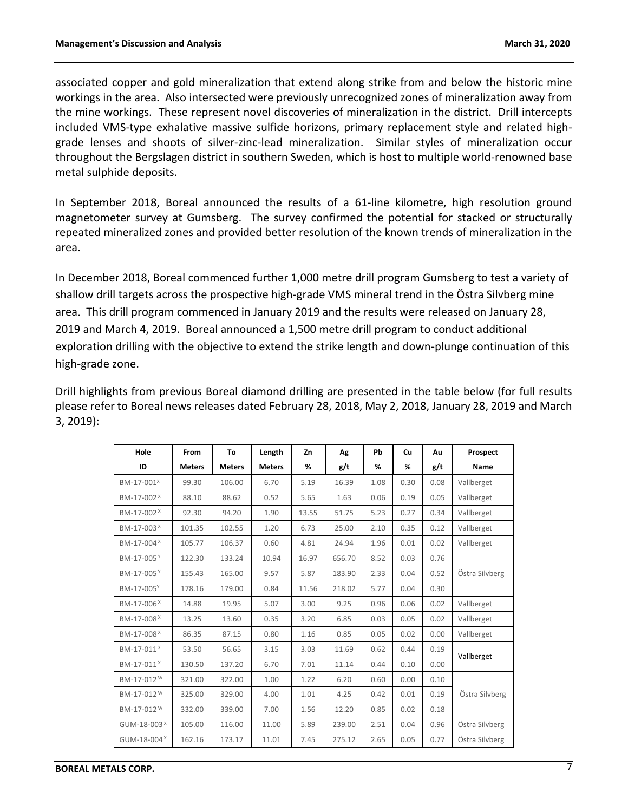associated copper and gold mineralization that extend along strike from and below the historic mine workings in the area. Also intersected were previously unrecognized zones of mineralization away from the mine workings. These represent novel discoveries of mineralization in the district. Drill intercepts included VMS-type exhalative massive sulfide horizons, primary replacement style and related highgrade lenses and shoots of silver-zinc-lead mineralization. Similar styles of mineralization occur throughout the Bergslagen district in southern Sweden, which is host to multiple world-renowned base metal sulphide deposits.

In September 2018, Boreal announced the results of a 61-line kilometre, high resolution ground magnetometer survey at Gumsberg. The survey confirmed the potential for stacked or structurally repeated mineralized zones and provided better resolution of the known trends of mineralization in the area.

In December 2018, Boreal commenced further 1,000 metre drill program Gumsberg to test a variety of shallow drill targets across the prospective high-grade VMS mineral trend in the Östra Silvberg mine area. This drill program commenced in January 2019 and the results were released on January 28, 2019 and March 4, 2019. Boreal announced a 1,500 metre drill program to conduct additional exploration drilling with the objective to extend the strike length and down-plunge continuation of this high-grade zone.

Drill highlights from previous Boreal diamond drilling are presented in the table below (for full results please refer to Boreal news releases dated February 28, 2018, May 2, 2018, January 28, 2019 and March 3, 2019):

| Hole                    | From          | To            | Length        | Zn    | Λg     | Pb   | <b>Cu</b> | Au   | Prospect       |  |
|-------------------------|---------------|---------------|---------------|-------|--------|------|-----------|------|----------------|--|
| ID                      | <b>Meters</b> | <b>Meters</b> | <b>Meters</b> | %     | g/t    | %    | %         | g/t  | Name           |  |
| BM-17-001 <sup>x</sup>  | 99.30         | 106.00        | 6.70          | 5.19  | 16.39  | 1.08 | 0.30      | 0.08 | Vallberget     |  |
| BM-17-002 <sup>X</sup>  | 88.10         | 88.62         | 0.52          | 5.65  | 1.63   | 0.06 | 0.19      | 0.05 | Vallberget     |  |
| BM-17-002 <sup>x</sup>  | 92.30         | 94.20         | 1.90          | 13.55 | 51.75  | 5.23 | 0.27      | 0.34 | Vallberget     |  |
| BM-17-003 <sup>X</sup>  | 101.35        | 102.55        | 1.20          | 6.73  | 25.00  | 2.10 | 0.35      | 0.12 | Vallberget     |  |
| BM-17-004 <sup>X</sup>  | 105.77        | 106.37        | 0.60          | 4.81  | 24.94  | 1.96 | 0.01      | 0.02 | Vallberget     |  |
| BM-17-005 <sup>Y</sup>  | 122.30        | 133.24        | 10.94         | 16.97 | 656.70 | 8.52 | 0.03      | 0.76 |                |  |
| BM-17-005 <sup>Y</sup>  | 155.43        | 165.00        | 9.57          | 5.87  | 183.90 | 2.33 | 0.04      | 0.52 | Östra Silvberg |  |
| BM-17-005 <sup>Y</sup>  | 178.16        | 179.00        | 0.84          | 11.56 | 218.02 | 5.77 | 0.04      | 0.30 |                |  |
| BM-17-006 <sup>×</sup>  | 14.88         | 19.95         | 5.07          | 3.00  | 9.25   | 0.96 | 0.06      | 0.02 | Vallberget     |  |
| BM-17-008 <sup>X</sup>  | 13.25         | 13.60         | 0.35          | 3.20  | 6.85   | 0.03 | 0.05      | 0.02 | Vallberget     |  |
| BM-17-008 <sup>X</sup>  | 86.35         | 87.15         | 0.80          | 1.16  | 0.85   | 0.05 | 0.02      | 0.00 | Vallberget     |  |
| BM-17-011 <sup>x</sup>  | 53.50         | 56.65         | 3.15          | 3.03  | 11.69  | 0.62 | 0.44      | 0.19 |                |  |
| BM-17-011 <sup>x</sup>  | 130.50        | 137.20        | 6.70          | 7.01  | 11.14  | 0.44 | 0.10      | 0.00 | Vallberget     |  |
| BM-17-012 <sup>W</sup>  | 321.00        | 322.00        | 1.00          | 1.22  | 6.20   | 0.60 | 0.00      | 0.10 |                |  |
| BM-17-012 <sup>W</sup>  | 325.00        | 329.00        | 4.00          | 1.01  | 4.25   | 0.42 | 0.01      | 0.19 | Östra Silvberg |  |
| BM-17-012 <sup>W</sup>  | 332.00        | 339.00        | 7.00          | 1.56  | 12.20  | 0.85 | 0.02      | 0.18 |                |  |
| GUM-18-003 <sup>X</sup> | 105.00        | 116.00        | 11.00         | 5.89  | 239.00 | 2.51 | 0.04      | 0.96 | Östra Silvberg |  |
| GUM-18-004 <sup>X</sup> | 162.16        | 173.17        | 11.01         | 7.45  | 275.12 | 2.65 | 0.05      | 0.77 | Östra Silvberg |  |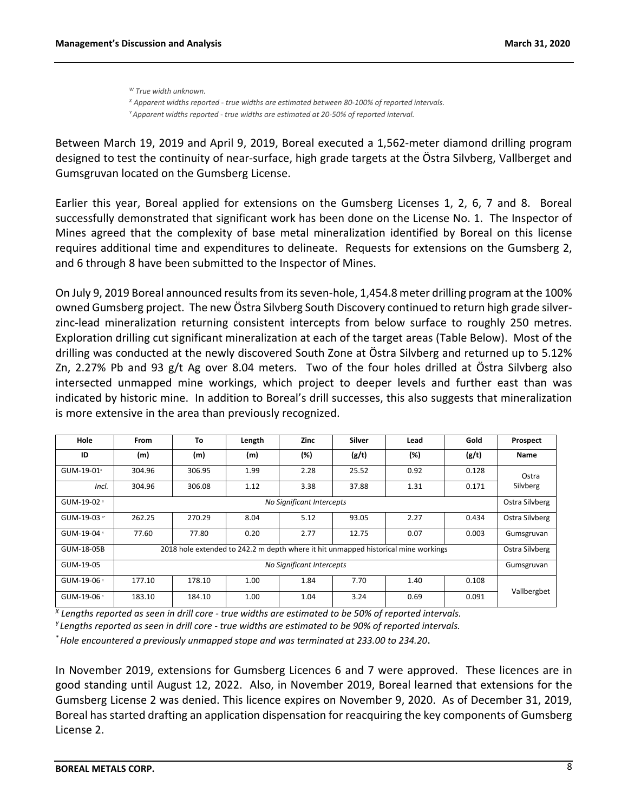*<sup>W</sup> True width unknown. <sup>X</sup> Apparent widths reported - true widths are estimated between 80-100% of reported intervals. <sup>Y</sup>Apparent widths reported - true widths are estimated at 20-50% of reported interval.*

Between March 19, 2019 and April 9, 2019, Boreal executed a 1,562-meter diamond drilling program designed to test the continuity of near-surface, high grade targets at the Östra Silvberg, Vallberget and Gumsgruvan located on the Gumsberg License.

Earlier this year, Boreal applied for extensions on the Gumsberg Licenses 1, 2, 6, 7 and 8. Boreal successfully demonstrated that significant work has been done on the License No. 1. The Inspector of Mines agreed that the complexity of base metal mineralization identified by Boreal on this license requires additional time and expenditures to delineate. Requests for extensions on the Gumsberg 2, and 6 through 8 have been submitted to the Inspector of Mines.

On July 9, 2019 Boreal announced results from its seven-hole, 1,454.8 meter drilling program at the 100% owned Gumsberg project. The new Östra Silvberg South Discovery continued to return high grade silverzinc-lead mineralization returning consistent intercepts from below surface to roughly 250 metres. Exploration drilling cut significant mineralization at each of the target areas (Table Below). Most of the drilling was conducted at the newly discovered South Zone at Östra Silvberg and returned up to 5.12% Zn, 2.27% Pb and 93 g/t Ag over 8.04 meters. Two of the four holes drilled at Östra Silvberg also intersected unmapped mine workings, which project to deeper levels and further east than was indicated by historic mine. In addition to Boreal's drill successes, this also suggests that mineralization is more extensive in the area than previously recognized.

| Hole                 | From                      | To     | Length | <b>Zinc</b>               | Silver | Lead                                                                               | Gold  | Prospect       |
|----------------------|---------------------------|--------|--------|---------------------------|--------|------------------------------------------------------------------------------------|-------|----------------|
| ID                   | (m)                       | (m)    | (m)    | (%)                       | (g/t)  | (%)                                                                                | (g/t) | Name           |
| GUM-19-01 $^{\circ}$ | 304.96                    | 306.95 | 1.99   | 2.28                      | 25.52  | 0.92                                                                               | 0.128 | Ostra          |
| Incl.                | 304.96                    | 306.08 | 1.12   | 3.38                      | 37.88  | 1.31                                                                               | 0.171 | Silvberg       |
| GUM-19-02 ×          | No Significant Intercepts |        |        |                           |        |                                                                                    |       |                |
| GUM-19-03 *          | 262.25                    | 270.29 | 8.04   | 5.12                      | 93.05  | 2.27                                                                               | 0.434 | Ostra Silvberg |
| GUM-19-04 *          | 77.60                     | 77.80  | 0.20   | 2.77                      | 12.75  | 0.07                                                                               | 0.003 | Gumsgruvan     |
| GUM-18-05B           |                           |        |        |                           |        | 2018 hole extended to 242.2 m depth where it hit unmapped historical mine workings |       | Ostra Silvberg |
| GUM-19-05            |                           |        |        | No Significant Intercepts |        |                                                                                    |       | Gumsgruvan     |
| GUM-19-06 *          | 177.10                    | 178.10 | 1.00   | 1.84                      | 7.70   | 1.40                                                                               | 0.108 |                |
| GUM-19-06 *          | 183.10                    | 184.10 | 1.00   | 1.04                      | 3.24   | 0.69                                                                               | 0.091 | Vallbergbet    |

*X Lengths reported as seen in drill core - true widths are estimated to be 50% of reported intervals.*

*<sup>Y</sup>Lengths reported as seen in drill core - true widths are estimated to be 90% of reported intervals.*

*\* Hole encountered a previously unmapped stope and was terminated at 233.00 to 234.20*.

In November 2019, extensions for Gumsberg Licences 6 and 7 were approved. These licences are in good standing until August 12, 2022. Also, in November 2019, Boreal learned that extensions for the Gumsberg License 2 was denied. This licence expires on November 9, 2020. As of December 31, 2019, Boreal has started drafting an application dispensation for reacquiring the key components of Gumsberg License 2.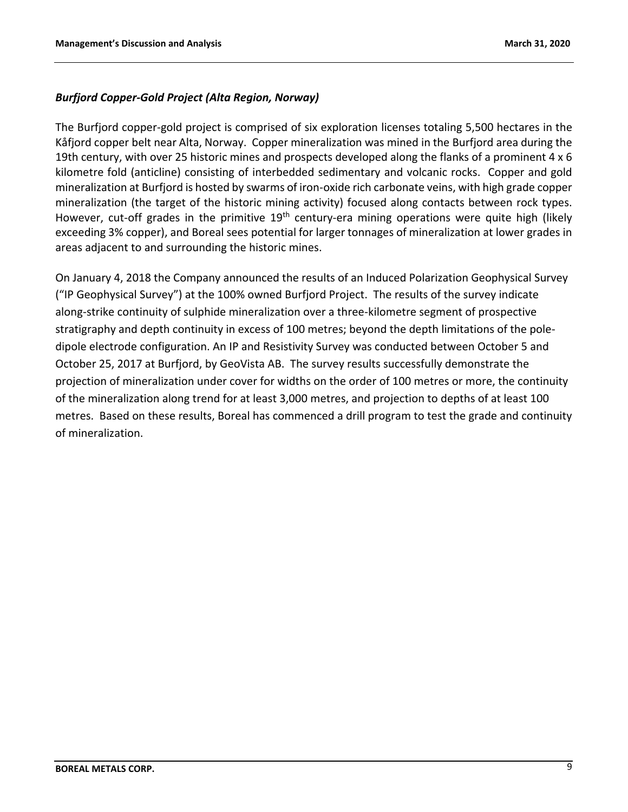## *Burfjord Copper-Gold Project (Alta Region, Norway)*

The Burfjord copper-gold project is comprised of six exploration licenses totaling 5,500 hectares in the Kåfjord copper belt near Alta, Norway. Copper mineralization was mined in the Burfjord area during the 19th century, with over 25 historic mines and prospects developed along the flanks of a prominent 4 x 6 kilometre fold (anticline) consisting of interbedded sedimentary and volcanic rocks. Copper and gold mineralization at Burfjord is hosted by swarms of iron-oxide rich carbonate veins, with high grade copper mineralization (the target of the historic mining activity) focused along contacts between rock types. However, cut-off grades in the primitive 19<sup>th</sup> century-era mining operations were quite high (likely exceeding 3% copper), and Boreal sees potential for larger tonnages of mineralization at lower grades in areas adjacent to and surrounding the historic mines.

On January 4, 2018 the Company announced the results of an Induced Polarization Geophysical Survey ("IP Geophysical Survey") at the 100% owned Burfjord Project. The results of the survey indicate along-strike continuity of sulphide mineralization over a three-kilometre segment of prospective stratigraphy and depth continuity in excess of 100 metres; beyond the depth limitations of the poledipole electrode configuration. An IP and Resistivity Survey was conducted between October 5 and October 25, 2017 at Burfjord, by GeoVista AB. The survey results successfully demonstrate the projection of mineralization under cover for widths on the order of 100 metres or more, the continuity of the mineralization along trend for at least 3,000 metres, and projection to depths of at least 100 metres. Based on these results, Boreal has commenced a drill program to test the grade and continuity of mineralization.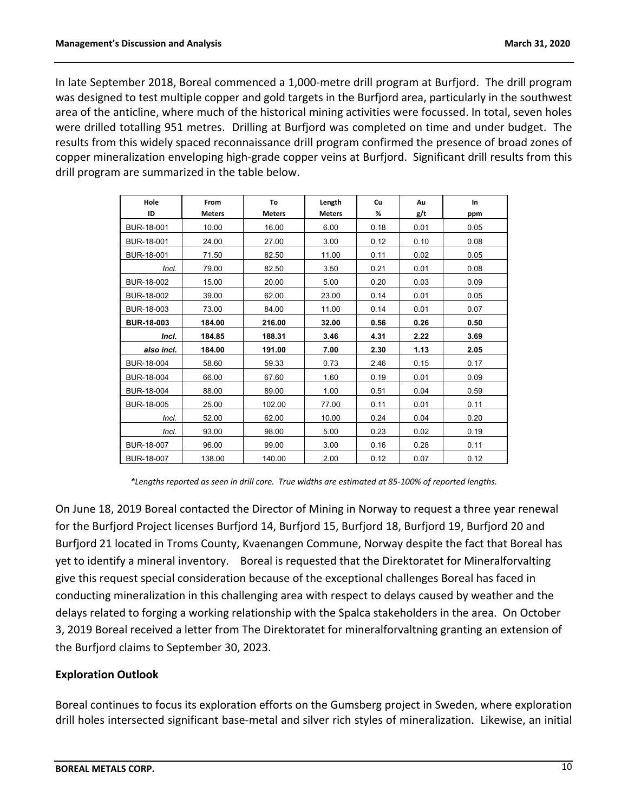In late September 2018, Boreal commenced a 1,000-metre drill program at Burfjord. The drill program was designed to test multiple copper and gold targets in the Burfjord area, particularly in the southwest area of the anticline, where much of the historical mining activities were focussed. In total, seven holes were drilled totalling 951 metres. Drilling at Burfjord was completed on time and under budget. The results from this widely spaced reconnaissance drill program confirmed the presence of broad zones of copper mineralization enveloping high-grade copper veins at Burfjord. Significant drill results from this drill program are summarized in the table below.

| Hole<br>ID        | From<br><b>Meters</b> | To<br><b>Meters</b> | Length<br><b>Meters</b> | Cu<br>% | Au<br>g/t | In<br>ppm |
|-------------------|-----------------------|---------------------|-------------------------|---------|-----------|-----------|
| BUR-18-001        | 10.00                 | 16.00               | 6.00                    | 0.18    | 0.01      | 0.05      |
| BUR-18-001        | 24.00                 | 27.00               | 3.00                    | 0.12    | 0.10      | 0.08      |
| BUR-18-001        | 71.50                 | 82.50               | 11.00                   | 0.11    | 0.02      | 0.05      |
| Incl.             | 79.00                 | 82.50               | 3.50                    | 0.21    | 0.01      | 0.08      |
| BUR-18-002        | 15.00                 | 20.00               | 5.00                    | 0.20    | 0.03      | 0.09      |
| BUR-18-002        | 39.00                 | 62.00               | 23.00                   | 0.14    | 0.01      | 0.05      |
| BUR-18-003        | 73.00                 | 84.00               | 11.00                   | 0.14    | 0.01      | 0.07      |
| <b>BUR-18-003</b> | 184.00                | 216.00              | 32.00                   | 0.56    | 0.26      | 0.50      |
| Incl.             | 184.85                | 188.31              | 3.46                    | 4.31    | 2.22      | 3.69      |
| also incl.        | 184.00                | 191.00              | 7.00                    | 2.30    | 1.13      | 2.05      |
| BUR-18-004        | 58.60                 | 59.33               | 0.73                    | 2.46    | 0.15      | 0.17      |
| BUR-18-004        | 66.00                 | 67.60               | 1.60                    | 0.19    | 0.01      | 0.09      |
| BUR-18-004        | 88.00                 | 89.00               | 1.00                    | 0.51    | 0.04      | 0.59      |
| BUR-18-005        | 25.00                 | 102.00              | 77.00                   | 0.11    | 0.01      | 0.11      |
| Incl.             | 52.00                 | 62.00               | 10.00                   | 0.24    | 0.04      | 0.20      |
| Incl.             | 93.00                 | 98.00               | 5.00                    | 0.23    | 0.02      | 0.19      |
| BUR-18-007        | 96.00                 | 99.00               | 3.00                    | 0.16    | 0.28      | 0.11      |
| BUR-18-007        | 138.00                | 140.00              | 2.00                    | 0.12    | 0.07      | 0.12      |

*\*Lengths reported as seen in drill core. True widths are estimated at 85-100% of reported lengths.*

On June 18, 2019 Boreal contacted the Director of Mining in Norway to request a three year renewal for the Burfjord Project licenses Burfjord 14, Burfjord 15, Burfjord 18, Burfjord 19, Burfjord 20 and Burfjord 21 located in Troms County, Kvaenangen Commune, Norway despite the fact that Boreal has yet to identify a mineral inventory. Boreal is requested that the Direktoratet for Mineralforvalting give this request special consideration because of the exceptional challenges Boreal has faced in conducting mineralization in this challenging area with respect to delays caused by weather and the delays related to forging a working relationship with the Spalca stakeholders in the area. On October 3, 2019 Boreal received a letter from The Direktoratet for mineralforvaltning granting an extension of the Burfjord claims to September 30, 2023.

## **Exploration Outlook**

Boreal continues to focus its exploration efforts on the Gumsberg project in Sweden, where exploration drill holes intersected significant base-metal and silver rich styles of mineralization. Likewise, an initial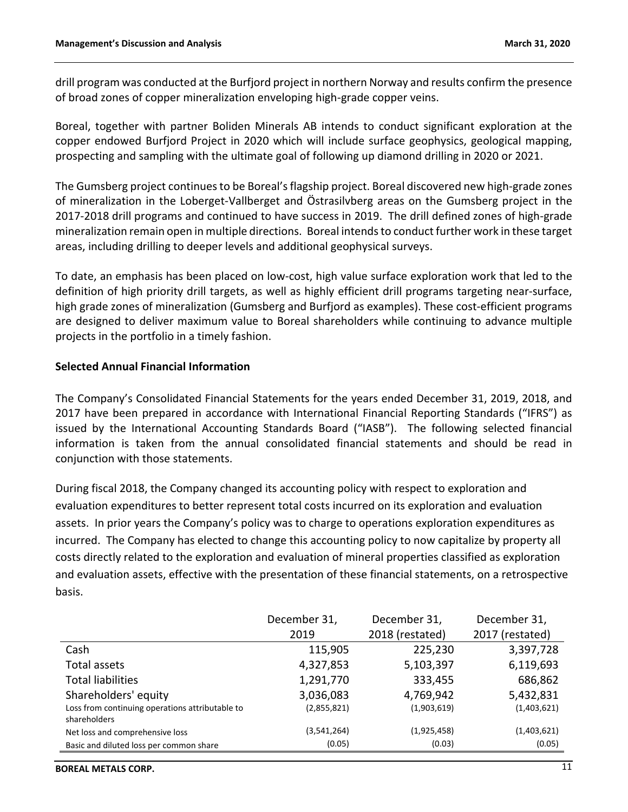drill program was conducted at the Burfjord project in northern Norway and results confirm the presence of broad zones of copper mineralization enveloping high-grade copper veins.

Boreal, together with partner Boliden Minerals AB intends to conduct significant exploration at the copper endowed Burfjord Project in 2020 which will include surface geophysics, geological mapping, prospecting and sampling with the ultimate goal of following up diamond drilling in 2020 or 2021.

The Gumsberg project continues to be Boreal's flagship project. Boreal discovered new high-grade zones of mineralization in the Loberget-Vallberget and Östrasilvberg areas on the Gumsberg project in the 2017-2018 drill programs and continued to have success in 2019. The drill defined zones of high-grade mineralization remain open in multiple directions. Boreal intends to conduct further work in these target areas, including drilling to deeper levels and additional geophysical surveys.

To date, an emphasis has been placed on low-cost, high value surface exploration work that led to the definition of high priority drill targets, as well as highly efficient drill programs targeting near-surface, high grade zones of mineralization (Gumsberg and Burfjord as examples). These cost-efficient programs are designed to deliver maximum value to Boreal shareholders while continuing to advance multiple projects in the portfolio in a timely fashion.

### **Selected Annual Financial Information**

The Company's Consolidated Financial Statements for the years ended December 31, 2019, 2018, and 2017 have been prepared in accordance with International Financial Reporting Standards ("IFRS") as issued by the International Accounting Standards Board ("IASB"). The following selected financial information is taken from the annual consolidated financial statements and should be read in conjunction with those statements.

During fiscal 2018, the Company changed its accounting policy with respect to exploration and evaluation expenditures to better represent total costs incurred on its exploration and evaluation assets. In prior years the Company's policy was to charge to operations exploration expenditures as incurred. The Company has elected to change this accounting policy to now capitalize by property all costs directly related to the exploration and evaluation of mineral properties classified as exploration and evaluation assets, effective with the presentation of these financial statements, on a retrospective basis.

|                                                                 | December 31, | December 31,    | December 31,    |
|-----------------------------------------------------------------|--------------|-----------------|-----------------|
|                                                                 | 2019         | 2018 (restated) | 2017 (restated) |
| Cash                                                            | 115,905      | 225,230         | 3,397,728       |
| Total assets                                                    | 4,327,853    | 5,103,397       | 6,119,693       |
| <b>Total liabilities</b>                                        | 1,291,770    | 333,455         | 686,862         |
| Shareholders' equity                                            | 3,036,083    | 4,769,942       | 5,432,831       |
| Loss from continuing operations attributable to<br>shareholders | (2,855,821)  | (1,903,619)     | (1,403,621)     |
| Net loss and comprehensive loss                                 | (3,541,264)  | (1,925,458)     | (1,403,621)     |
| Basic and diluted loss per common share                         | (0.05)       | (0.03)          | (0.05)          |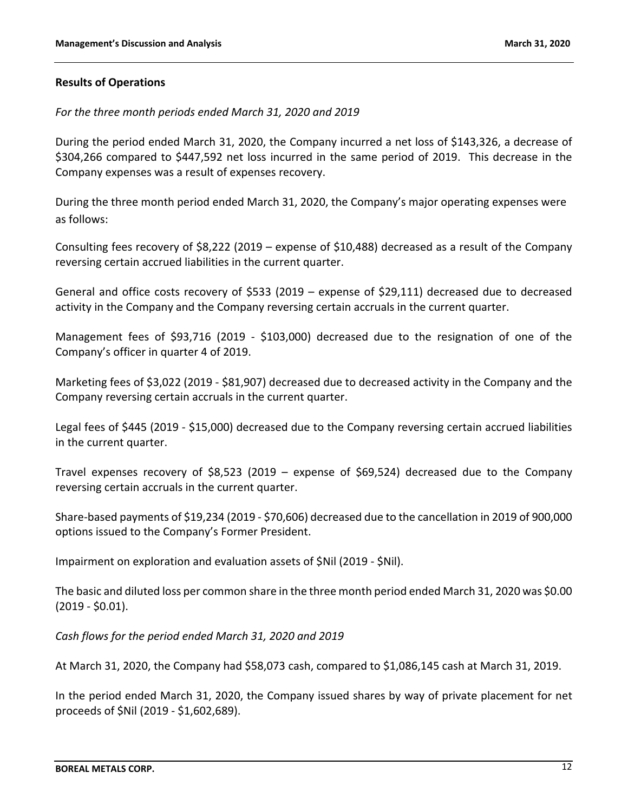### **Results of Operations**

### *For the three month periods ended March 31, 2020 and 2019*

During the period ended March 31, 2020, the Company incurred a net loss of \$143,326, a decrease of \$304,266 compared to \$447,592 net loss incurred in the same period of 2019. This decrease in the Company expenses was a result of expenses recovery.

During the three month period ended March 31, 2020, the Company's major operating expenses were as follows:

Consulting fees recovery of \$8,222 (2019 – expense of \$10,488) decreased as a result of the Company reversing certain accrued liabilities in the current quarter.

General and office costs recovery of \$533 (2019 – expense of \$29,111) decreased due to decreased activity in the Company and the Company reversing certain accruals in the current quarter.

Management fees of \$93,716 (2019 - \$103,000) decreased due to the resignation of one of the Company's officer in quarter 4 of 2019.

Marketing fees of \$3,022 (2019 - \$81,907) decreased due to decreased activity in the Company and the Company reversing certain accruals in the current quarter.

Legal fees of \$445 (2019 - \$15,000) decreased due to the Company reversing certain accrued liabilities in the current quarter.

Travel expenses recovery of \$8,523 (2019 – expense of \$69,524) decreased due to the Company reversing certain accruals in the current quarter.

Share-based payments of \$19,234 (2019 - \$70,606) decreased due to the cancellation in 2019 of 900,000 options issued to the Company's Former President.

Impairment on exploration and evaluation assets of \$Nil (2019 - \$Nil).

The basic and diluted loss per common share in the three month period ended March 31, 2020 was \$0.00 (2019 - \$0.01).

*Cash flows for the period ended March 31, 2020 and 2019*

At March 31, 2020, the Company had \$58,073 cash, compared to \$1,086,145 cash at March 31, 2019.

In the period ended March 31, 2020, the Company issued shares by way of private placement for net proceeds of \$Nil (2019 - \$1,602,689).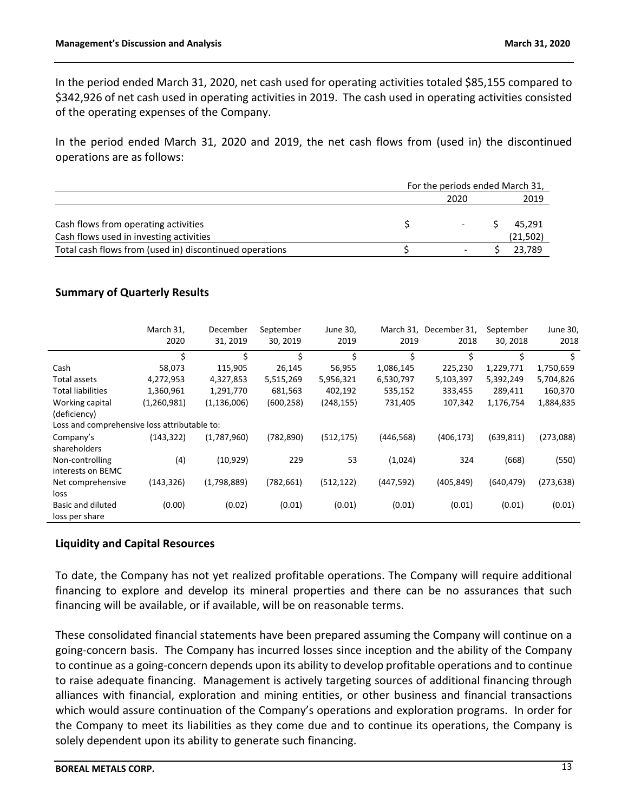In the period ended March 31, 2020, net cash used for operating activities totaled \$85,155 compared to \$342,926 of net cash used in operating activities in 2019. The cash used in operating activities consisted of the operating expenses of the Company.

In the period ended March 31, 2020 and 2019, the net cash flows from (used in) the discontinued operations are as follows:

|                                                         | For the periods ended March 31, |           |
|---------------------------------------------------------|---------------------------------|-----------|
|                                                         | 2020                            | 2019      |
|                                                         |                                 |           |
| Cash flows from operating activities                    |                                 | 45.291    |
| Cash flows used in investing activities                 |                                 | (21, 502) |
| Total cash flows from (used in) discontinued operations | $\overline{\phantom{0}}$        | 23.789    |

## **Summary of Quarterly Results**

|                                              | March 31,<br>2020 | December<br>31, 2019 | September<br>30, 2019 | June 30,<br>2019 | March 31,<br>2019 | December 31,<br>2018 | September<br>30, 2018 | June 30,<br>2018 |
|----------------------------------------------|-------------------|----------------------|-----------------------|------------------|-------------------|----------------------|-----------------------|------------------|
|                                              | \$                | \$                   | Ś                     | \$               | Ś.                | Ś.                   | \$                    | \$               |
| Cash                                         | 58,073            | 115,905              | 26,145                | 56,955           | 1,086,145         | 225,230              | 1,229,771             | 1,750,659        |
| Total assets                                 | 4,272,953         | 4,327,853            | 5,515,269             | 5,956,321        | 6,530,797         | 5,103,397            | 5,392,249             | 5,704,826        |
| <b>Total liabilities</b>                     | 1,360,961         | 1,291,770            | 681,563               | 402,192          | 535,152           | 333,455              | 289,411               | 160,370          |
| Working capital                              | (1,260,981)       | (1, 136, 006)        | (600, 258)            | (248, 155)       | 731,405           | 107,342              | 1,176,754             | 1,884,835        |
| (deficiency)                                 |                   |                      |                       |                  |                   |                      |                       |                  |
| Loss and comprehensive loss attributable to: |                   |                      |                       |                  |                   |                      |                       |                  |
| Company's                                    | (143, 322)        | (1,787,960)          | (782, 890)            | (512, 175)       | (446, 568)        | (406, 173)           | (639, 811)            | (273,088)        |
| shareholders                                 |                   |                      |                       |                  |                   |                      |                       |                  |
| Non-controlling                              | (4)               | (10, 929)            | 229                   | 53               | (1,024)           | 324                  | (668)                 | (550)            |
| interests on BEMC                            |                   |                      |                       |                  |                   |                      |                       |                  |
| Net comprehensive                            | (143, 326)        | (1,798,889)          | (782, 661)            | (512, 122)       | (447, 592)        | (405, 849)           | (640, 479)            | (273, 638)       |
| loss                                         |                   |                      |                       |                  |                   |                      |                       |                  |
| Basic and diluted                            | (0.00)            | (0.02)               | (0.01)                | (0.01)           | (0.01)            | (0.01)               | (0.01)                | (0.01)           |
| loss per share                               |                   |                      |                       |                  |                   |                      |                       |                  |

## **Liquidity and Capital Resources**

To date, the Company has not yet realized profitable operations. The Company will require additional financing to explore and develop its mineral properties and there can be no assurances that such financing will be available, or if available, will be on reasonable terms.

These consolidated financial statements have been prepared assuming the Company will continue on a going-concern basis. The Company has incurred losses since inception and the ability of the Company to continue as a going-concern depends upon its ability to develop profitable operations and to continue to raise adequate financing. Management is actively targeting sources of additional financing through alliances with financial, exploration and mining entities, or other business and financial transactions which would assure continuation of the Company's operations and exploration programs. In order for the Company to meet its liabilities as they come due and to continue its operations, the Company is solely dependent upon its ability to generate such financing.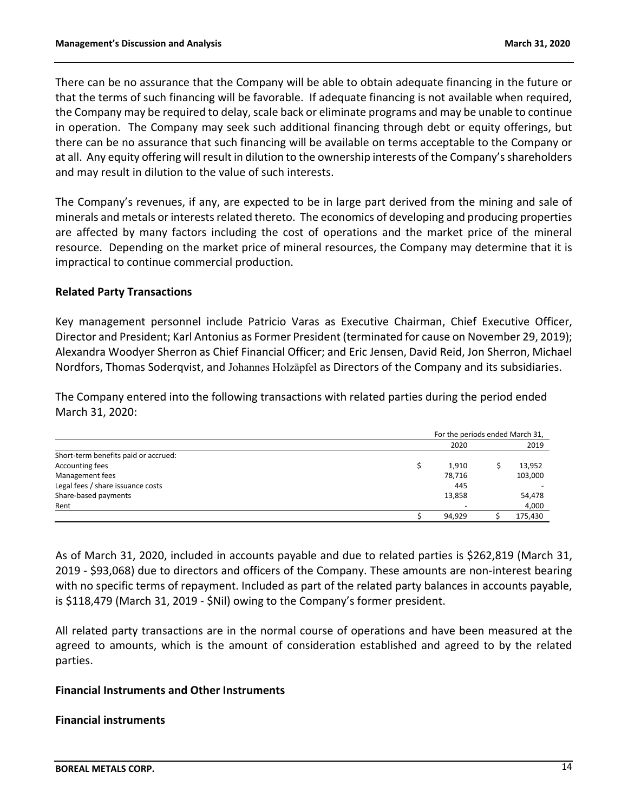There can be no assurance that the Company will be able to obtain adequate financing in the future or that the terms of such financing will be favorable. If adequate financing is not available when required, the Company may be required to delay, scale back or eliminate programs and may be unable to continue in operation. The Company may seek such additional financing through debt or equity offerings, but there can be no assurance that such financing will be available on terms acceptable to the Company or at all. Any equity offering will result in dilution to the ownership interests of the Company's shareholders and may result in dilution to the value of such interests.

The Company's revenues, if any, are expected to be in large part derived from the mining and sale of minerals and metals or interests related thereto. The economics of developing and producing properties are affected by many factors including the cost of operations and the market price of the mineral resource. Depending on the market price of mineral resources, the Company may determine that it is impractical to continue commercial production.

#### **Related Party Transactions**

Key management personnel include Patricio Varas as Executive Chairman, Chief Executive Officer, Director and President; Karl Antonius as Former President (terminated for cause on November 29, 2019); Alexandra Woodyer Sherron as Chief Financial Officer; and Eric Jensen, David Reid, Jon Sherron, Michael Nordfors, Thomas Soderqvist, and Johannes Holzäpfel as Directors of the Company and its subsidiaries.

The Company entered into the following transactions with related parties during the period ended March 31, 2020:

|                                      | For the periods ended March 31,<br>2020<br>1,910<br>78,716<br>445<br>13,858 |        |  |         |
|--------------------------------------|-----------------------------------------------------------------------------|--------|--|---------|
|                                      |                                                                             |        |  | 2019    |
| Short-term benefits paid or accrued: |                                                                             |        |  |         |
| Accounting fees                      |                                                                             |        |  | 13,952  |
| Management fees                      |                                                                             |        |  | 103,000 |
| Legal fees / share issuance costs    |                                                                             |        |  |         |
| Share-based payments                 |                                                                             |        |  | 54,478  |
| Rent                                 |                                                                             |        |  | 4,000   |
|                                      |                                                                             | 94,929 |  | 175,430 |

As of March 31, 2020, included in accounts payable and due to related parties is \$262,819 (March 31, 2019 - \$93,068) due to directors and officers of the Company. These amounts are non-interest bearing with no specific terms of repayment. Included as part of the related party balances in accounts payable, is \$118,479 (March 31, 2019 - \$Nil) owing to the Company's former president.

All related party transactions are in the normal course of operations and have been measured at the agreed to amounts, which is the amount of consideration established and agreed to by the related parties.

#### **Financial Instruments and Other Instruments**

#### **Financial instruments**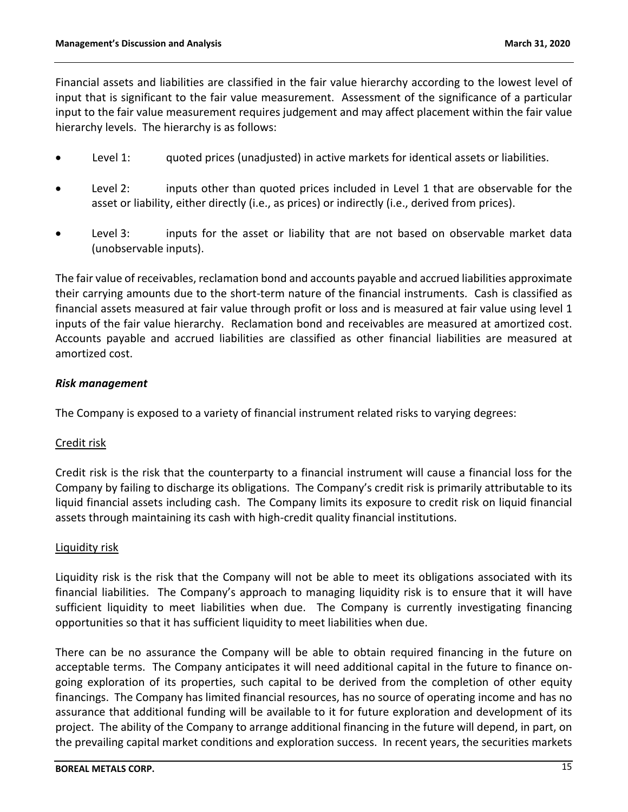Financial assets and liabilities are classified in the fair value hierarchy according to the lowest level of input that is significant to the fair value measurement. Assessment of the significance of a particular input to the fair value measurement requires judgement and may affect placement within the fair value hierarchy levels. The hierarchy is as follows:

- Level 1: guoted prices (unadjusted) in active markets for identical assets or liabilities.
- Level 2: inputs other than quoted prices included in Level 1 that are observable for the asset or liability, either directly (i.e., as prices) or indirectly (i.e., derived from prices).
- Level 3: inputs for the asset or liability that are not based on observable market data (unobservable inputs).

The fair value of receivables, reclamation bond and accounts payable and accrued liabilities approximate their carrying amounts due to the short-term nature of the financial instruments. Cash is classified as financial assets measured at fair value through profit or loss and is measured at fair value using level 1 inputs of the fair value hierarchy. Reclamation bond and receivables are measured at amortized cost. Accounts payable and accrued liabilities are classified as other financial liabilities are measured at amortized cost.

## *Risk management*

The Company is exposed to a variety of financial instrument related risks to varying degrees:

## Credit risk

Credit risk is the risk that the counterparty to a financial instrument will cause a financial loss for the Company by failing to discharge its obligations. The Company's credit risk is primarily attributable to its liquid financial assets including cash. The Company limits its exposure to credit risk on liquid financial assets through maintaining its cash with high-credit quality financial institutions.

## Liquidity risk

Liquidity risk is the risk that the Company will not be able to meet its obligations associated with its financial liabilities. The Company's approach to managing liquidity risk is to ensure that it will have sufficient liquidity to meet liabilities when due. The Company is currently investigating financing opportunities so that it has sufficient liquidity to meet liabilities when due.

There can be no assurance the Company will be able to obtain required financing in the future on acceptable terms. The Company anticipates it will need additional capital in the future to finance ongoing exploration of its properties, such capital to be derived from the completion of other equity financings. The Company has limited financial resources, has no source of operating income and has no assurance that additional funding will be available to it for future exploration and development of its project. The ability of the Company to arrange additional financing in the future will depend, in part, on the prevailing capital market conditions and exploration success. In recent years, the securities markets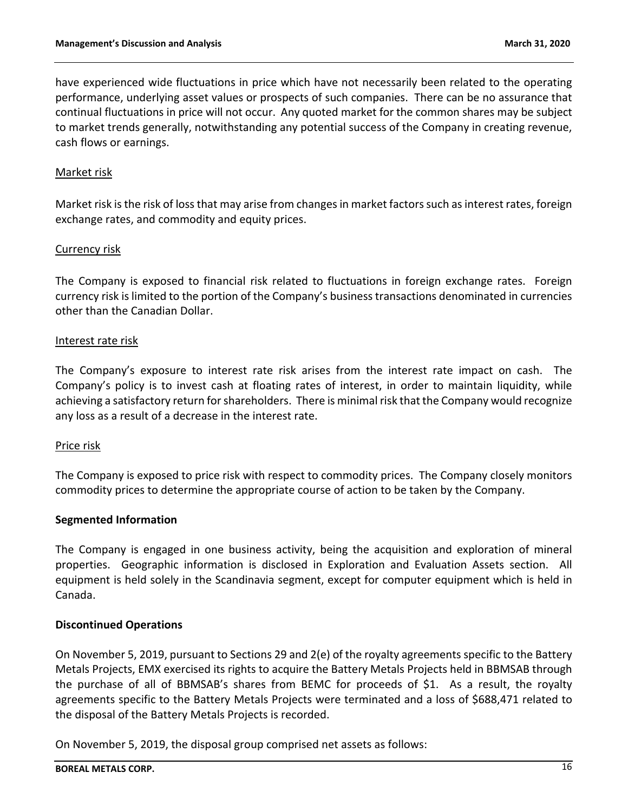have experienced wide fluctuations in price which have not necessarily been related to the operating performance, underlying asset values or prospects of such companies. There can be no assurance that continual fluctuations in price will not occur. Any quoted market for the common shares may be subject to market trends generally, notwithstanding any potential success of the Company in creating revenue, cash flows or earnings.

### Market risk

Market risk is the risk of loss that may arise from changes in market factors such as interest rates, foreign exchange rates, and commodity and equity prices.

#### Currency risk

The Company is exposed to financial risk related to fluctuations in foreign exchange rates. Foreign currency risk is limited to the portion of the Company's business transactions denominated in currencies other than the Canadian Dollar.

#### Interest rate risk

The Company's exposure to interest rate risk arises from the interest rate impact on cash. The Company's policy is to invest cash at floating rates of interest, in order to maintain liquidity, while achieving a satisfactory return for shareholders. There is minimal risk that the Company would recognize any loss as a result of a decrease in the interest rate.

#### Price risk

The Company is exposed to price risk with respect to commodity prices. The Company closely monitors commodity prices to determine the appropriate course of action to be taken by the Company.

#### **Segmented Information**

The Company is engaged in one business activity, being the acquisition and exploration of mineral properties. Geographic information is disclosed in Exploration and Evaluation Assets section. All equipment is held solely in the Scandinavia segment, except for computer equipment which is held in Canada.

#### **Discontinued Operations**

On November 5, 2019, pursuant to Sections 29 and 2(e) of the royalty agreements specific to the Battery Metals Projects, EMX exercised its rights to acquire the Battery Metals Projects held in BBMSAB through the purchase of all of BBMSAB's shares from BEMC for proceeds of \$1. As a result, the royalty agreements specific to the Battery Metals Projects were terminated and a loss of \$688,471 related to the disposal of the Battery Metals Projects is recorded.

On November 5, 2019, the disposal group comprised net assets as follows: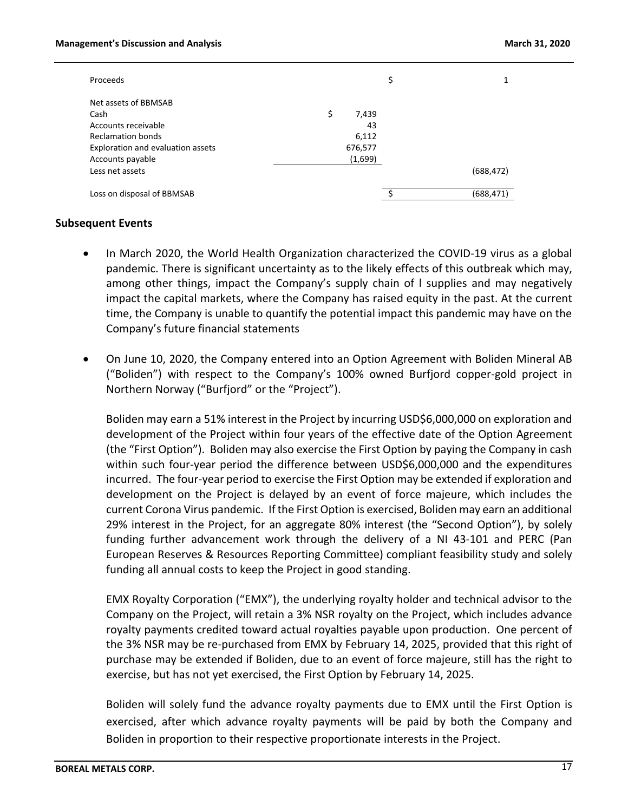| Proceeds                          |             | \$               |
|-----------------------------------|-------------|------------------|
| Net assets of BBMSAB              |             |                  |
| Cash                              | \$<br>7,439 |                  |
| Accounts receivable               | 43          |                  |
| <b>Reclamation bonds</b>          | 6,112       |                  |
| Exploration and evaluation assets | 676,577     |                  |
| Accounts payable                  | (1,699)     |                  |
| Less net assets                   |             | (688, 472)       |
| Loss on disposal of BBMSAB        |             | \$<br>(688, 471) |

#### **Subsequent Events**

- In March 2020, the World Health Organization characterized the COVID-19 virus as a global pandemic. There is significant uncertainty as to the likely effects of this outbreak which may, among other things, impact the Company's supply chain of l supplies and may negatively impact the capital markets, where the Company has raised equity in the past. At the current time, the Company is unable to quantify the potential impact this pandemic may have on the Company's future financial statements
- On June 10, 2020, the Company entered into an Option Agreement with Boliden Mineral AB ("Boliden") with respect to the Company's 100% owned Burfjord copper-gold project in Northern Norway ("Burfjord" or the "Project").

Boliden may earn a 51% interest in the Project by incurring USD\$6,000,000 on exploration and development of the Project within four years of the effective date of the Option Agreement (the "First Option"). Boliden may also exercise the First Option by paying the Company in cash within such four-year period the difference between USD\$6,000,000 and the expenditures incurred. The four-year period to exercise the First Option may be extended if exploration and development on the Project is delayed by an event of force majeure, which includes the current Corona Virus pandemic. If the First Option is exercised, Boliden may earn an additional 29% interest in the Project, for an aggregate 80% interest (the "Second Option"), by solely funding further advancement work through the delivery of a NI 43-101 and PERC (Pan European Reserves & Resources Reporting Committee) compliant feasibility study and solely funding all annual costs to keep the Project in good standing.

EMX Royalty Corporation ("EMX"), the underlying royalty holder and technical advisor to the Company on the Project, will retain a 3% NSR royalty on the Project, which includes advance royalty payments credited toward actual royalties payable upon production. One percent of the 3% NSR may be re-purchased from EMX by February 14, 2025, provided that this right of purchase may be extended if Boliden, due to an event of force majeure, still has the right to exercise, but has not yet exercised, the First Option by February 14, 2025.

Boliden will solely fund the advance royalty payments due to EMX until the First Option is exercised, after which advance royalty payments will be paid by both the Company and Boliden in proportion to their respective proportionate interests in the Project.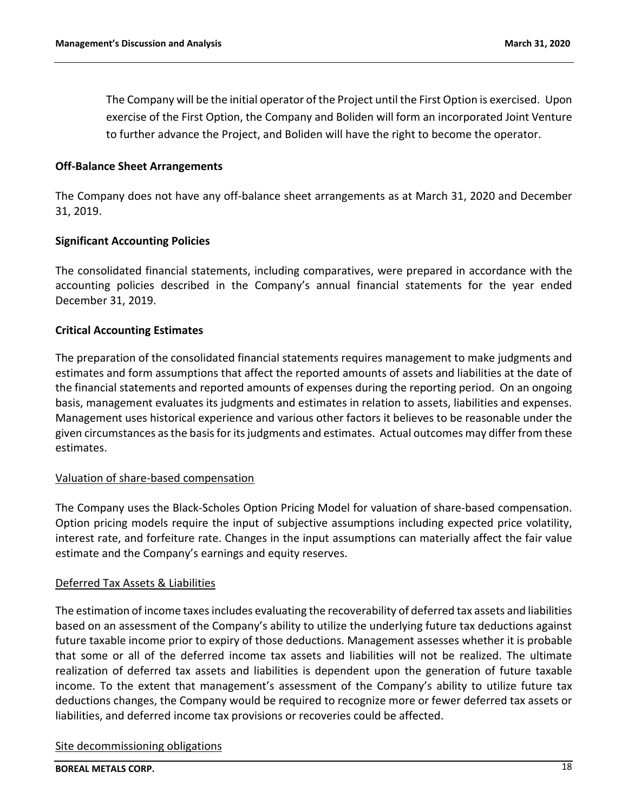The Company will be the initial operator of the Project until the First Option is exercised. Upon exercise of the First Option, the Company and Boliden will form an incorporated Joint Venture to further advance the Project, and Boliden will have the right to become the operator.

### **Off-Balance Sheet Arrangements**

The Company does not have any off-balance sheet arrangements as at March 31, 2020 and December 31, 2019.

### **Significant Accounting Policies**

The consolidated financial statements, including comparatives, were prepared in accordance with the accounting policies described in the Company's annual financial statements for the year ended December 31, 2019.

### **Critical Accounting Estimates**

The preparation of the consolidated financial statements requires management to make judgments and estimates and form assumptions that affect the reported amounts of assets and liabilities at the date of the financial statements and reported amounts of expenses during the reporting period. On an ongoing basis, management evaluates its judgments and estimates in relation to assets, liabilities and expenses. Management uses historical experience and various other factors it believes to be reasonable under the given circumstances as the basis for its judgments and estimates. Actual outcomes may differ from these estimates.

#### Valuation of share-based compensation

The Company uses the Black-Scholes Option Pricing Model for valuation of share-based compensation. Option pricing models require the input of subjective assumptions including expected price volatility, interest rate, and forfeiture rate. Changes in the input assumptions can materially affect the fair value estimate and the Company's earnings and equity reserves.

#### Deferred Tax Assets & Liabilities

The estimation of income taxes includes evaluating the recoverability of deferred tax assets and liabilities based on an assessment of the Company's ability to utilize the underlying future tax deductions against future taxable income prior to expiry of those deductions. Management assesses whether it is probable that some or all of the deferred income tax assets and liabilities will not be realized. The ultimate realization of deferred tax assets and liabilities is dependent upon the generation of future taxable income. To the extent that management's assessment of the Company's ability to utilize future tax deductions changes, the Company would be required to recognize more or fewer deferred tax assets or liabilities, and deferred income tax provisions or recoveries could be affected.

#### Site decommissioning obligations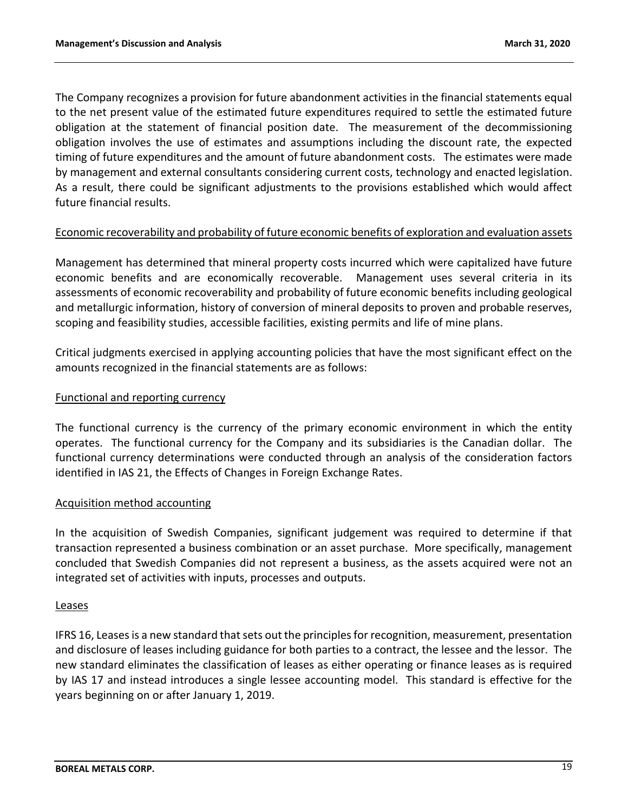The Company recognizes a provision for future abandonment activities in the financial statements equal to the net present value of the estimated future expenditures required to settle the estimated future obligation at the statement of financial position date. The measurement of the decommissioning obligation involves the use of estimates and assumptions including the discount rate, the expected timing of future expenditures and the amount of future abandonment costs. The estimates were made by management and external consultants considering current costs, technology and enacted legislation. As a result, there could be significant adjustments to the provisions established which would affect future financial results.

## Economic recoverability and probability of future economic benefits of exploration and evaluation assets

Management has determined that mineral property costs incurred which were capitalized have future economic benefits and are economically recoverable. Management uses several criteria in its assessments of economic recoverability and probability of future economic benefits including geological and metallurgic information, history of conversion of mineral deposits to proven and probable reserves, scoping and feasibility studies, accessible facilities, existing permits and life of mine plans.

Critical judgments exercised in applying accounting policies that have the most significant effect on the amounts recognized in the financial statements are as follows:

## Functional and reporting currency

The functional currency is the currency of the primary economic environment in which the entity operates. The functional currency for the Company and its subsidiaries is the Canadian dollar. The functional currency determinations were conducted through an analysis of the consideration factors identified in IAS 21, the Effects of Changes in Foreign Exchange Rates.

## Acquisition method accounting

In the acquisition of Swedish Companies, significant judgement was required to determine if that transaction represented a business combination or an asset purchase. More specifically, management concluded that Swedish Companies did not represent a business, as the assets acquired were not an integrated set of activities with inputs, processes and outputs.

#### Leases

IFRS 16, Leases is a new standard that sets out the principles for recognition, measurement, presentation and disclosure of leases including guidance for both parties to a contract, the lessee and the lessor. The new standard eliminates the classification of leases as either operating or finance leases as is required by IAS 17 and instead introduces a single lessee accounting model. This standard is effective for the years beginning on or after January 1, 2019.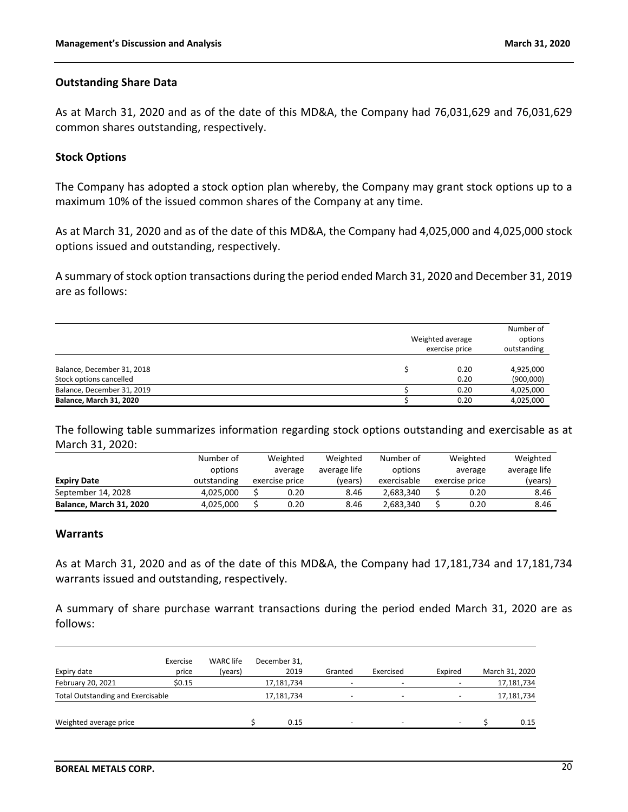#### **Outstanding Share Data**

As at March 31, 2020 and as of the date of this MD&A, the Company had 76,031,629 and 76,031,629 common shares outstanding, respectively.

#### **Stock Options**

The Company has adopted a stock option plan whereby, the Company may grant stock options up to a maximum 10% of the issued common shares of the Company at any time.

As at March 31, 2020 and as of the date of this MD&A, the Company had 4,025,000 and 4,025,000 stock options issued and outstanding, respectively.

A summary of stock option transactions during the period ended March 31, 2020 and December 31, 2019 are as follows:

|                                                       | Weighted average<br>exercise price |                        |  |  |
|-------------------------------------------------------|------------------------------------|------------------------|--|--|
| Balance, December 31, 2018<br>Stock options cancelled | 0.20<br>0.20                       | 4,925,000<br>(900,000) |  |  |
| Balance, December 31, 2019                            | 0.20                               | 4,025,000              |  |  |
| <b>Balance, March 31, 2020</b>                        | 0.20                               | 4,025,000              |  |  |

The following table summarizes information regarding stock options outstanding and exercisable as at March 31, 2020:

|                                | Number of   | Weighted       | Weighted     | Number of   | Weighted |                | Weighted     |
|--------------------------------|-------------|----------------|--------------|-------------|----------|----------------|--------------|
|                                | options     | average        | average life | options     |          | average        | average life |
| <b>Expiry Date</b>             | outstanding | exercise price | (years)      | exercisable |          | exercise price | (years)      |
| September 14, 2028             | 4.025.000   | 0.20           | 8.46         | 2.683.340   |          | 0.20           | 8.46         |
| <b>Balance, March 31, 2020</b> | 4,025,000   | 0.20           | 8.46         | 2.683.340   |          | 0.20           | 8.46         |

#### **Warrants**

As at March 31, 2020 and as of the date of this MD&A, the Company had 17,181,734 and 17,181,734 warrants issued and outstanding, respectively.

A summary of share purchase warrant transactions during the period ended March 31, 2020 are as follows:

| Expiry date                       | Exercise<br>price | <b>WARC</b> life<br>(years) | December 31.<br>2019 | Granted | Exercised | Expired                  |            | March 31, 2020 |
|-----------------------------------|-------------------|-----------------------------|----------------------|---------|-----------|--------------------------|------------|----------------|
| February 20, 2021                 | \$0.15            |                             | 17,181,734           |         |           |                          | 17,181,734 |                |
| Total Outstanding and Exercisable |                   |                             | 17,181,734           |         |           | $\overline{\phantom{a}}$ | 17,181,734 |                |
| Weighted average price            |                   |                             | 0.15                 | -       |           | $\overline{\phantom{0}}$ |            | 0.15           |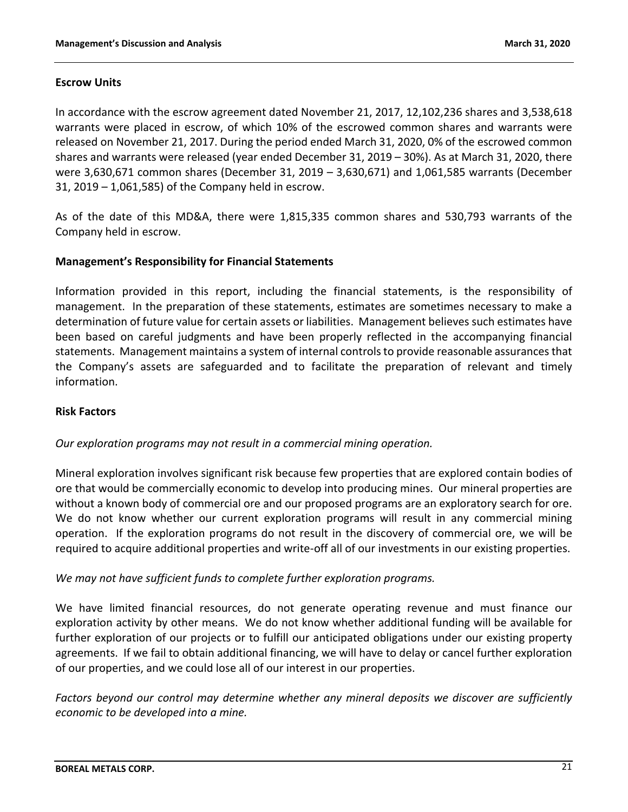### **Escrow Units**

In accordance with the escrow agreement dated November 21, 2017, 12,102,236 shares and 3,538,618 warrants were placed in escrow, of which 10% of the escrowed common shares and warrants were released on November 21, 2017. During the period ended March 31, 2020, 0% of the escrowed common shares and warrants were released (year ended December 31, 2019 – 30%). As at March 31, 2020, there were 3,630,671 common shares (December 31, 2019 – 3,630,671) and 1,061,585 warrants (December 31, 2019 – 1,061,585) of the Company held in escrow.

As of the date of this MD&A, there were 1,815,335 common shares and 530,793 warrants of the Company held in escrow.

### **Management's Responsibility for Financial Statements**

Information provided in this report, including the financial statements, is the responsibility of management. In the preparation of these statements, estimates are sometimes necessary to make a determination of future value for certain assets or liabilities. Management believes such estimates have been based on careful judgments and have been properly reflected in the accompanying financial statements. Management maintains a system of internal controls to provide reasonable assurances that the Company's assets are safeguarded and to facilitate the preparation of relevant and timely information.

### **Risk Factors**

## *Our exploration programs may not result in a commercial mining operation.*

Mineral exploration involves significant risk because few properties that are explored contain bodies of ore that would be commercially economic to develop into producing mines. Our mineral properties are without a known body of commercial ore and our proposed programs are an exploratory search for ore. We do not know whether our current exploration programs will result in any commercial mining operation. If the exploration programs do not result in the discovery of commercial ore, we will be required to acquire additional properties and write-off all of our investments in our existing properties.

## *We may not have sufficient funds to complete further exploration programs.*

We have limited financial resources, do not generate operating revenue and must finance our exploration activity by other means. We do not know whether additional funding will be available for further exploration of our projects or to fulfill our anticipated obligations under our existing property agreements. If we fail to obtain additional financing, we will have to delay or cancel further exploration of our properties, and we could lose all of our interest in our properties.

*Factors beyond our control may determine whether any mineral deposits we discover are sufficiently economic to be developed into a mine.*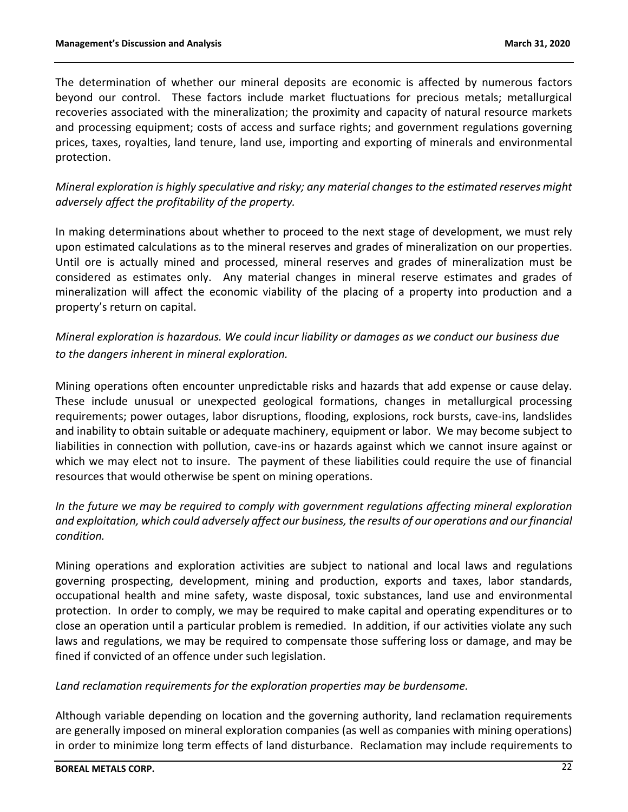The determination of whether our mineral deposits are economic is affected by numerous factors beyond our control. These factors include market fluctuations for precious metals; metallurgical recoveries associated with the mineralization; the proximity and capacity of natural resource markets and processing equipment; costs of access and surface rights; and government regulations governing prices, taxes, royalties, land tenure, land use, importing and exporting of minerals and environmental protection.

*Mineral exploration is highly speculative and risky; any material changes to the estimated reserves might adversely affect the profitability of the property.*

In making determinations about whether to proceed to the next stage of development, we must rely upon estimated calculations as to the mineral reserves and grades of mineralization on our properties. Until ore is actually mined and processed, mineral reserves and grades of mineralization must be considered as estimates only. Any material changes in mineral reserve estimates and grades of mineralization will affect the economic viability of the placing of a property into production and a property's return on capital.

*Mineral exploration is hazardous. We could incur liability or damages as we conduct our business due to the dangers inherent in mineral exploration.*

Mining operations often encounter unpredictable risks and hazards that add expense or cause delay. These include unusual or unexpected geological formations, changes in metallurgical processing requirements; power outages, labor disruptions, flooding, explosions, rock bursts, cave-ins, landslides and inability to obtain suitable or adequate machinery, equipment or labor. We may become subject to liabilities in connection with pollution, cave-ins or hazards against which we cannot insure against or which we may elect not to insure. The payment of these liabilities could require the use of financial resources that would otherwise be spent on mining operations.

*In the future we may be required to comply with government regulations affecting mineral exploration and exploitation, which could adversely affect our business, the results of our operations and our financial condition.*

Mining operations and exploration activities are subject to national and local laws and regulations governing prospecting, development, mining and production, exports and taxes, labor standards, occupational health and mine safety, waste disposal, toxic substances, land use and environmental protection. In order to comply, we may be required to make capital and operating expenditures or to close an operation until a particular problem is remedied. In addition, if our activities violate any such laws and regulations, we may be required to compensate those suffering loss or damage, and may be fined if convicted of an offence under such legislation.

*Land reclamation requirements for the exploration properties may be burdensome.*

Although variable depending on location and the governing authority, land reclamation requirements are generally imposed on mineral exploration companies (as well as companies with mining operations) in order to minimize long term effects of land disturbance. Reclamation may include requirements to